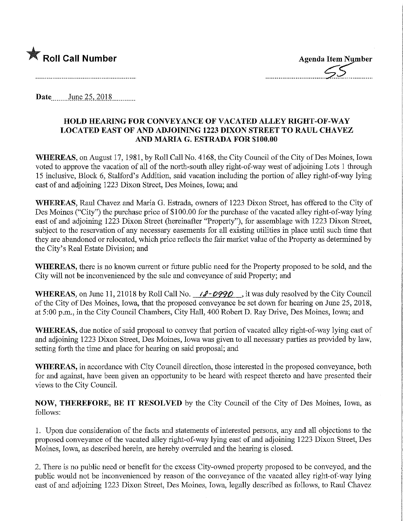

**Date** June 25, 2018

## HOLD HEARING FOR CONVEYANCE OF VACATED ALLEY RIGHT-OF-WAY LOCATED EAST OF AND ADJOINING 1223 DIXON STREET TO RAUL CHAVEZ AND MARIA G. ESTRADA FOR \$100.00

WHEREAS, on August 17, 1981, by Roll Call No. 4168, the City Council of the City of Des Moines, Iowa voted to approve the vacation of all of the north-south alley right-of-way west of adjoining Lots 1 through 15 inclusive, Block 6, Stalford's Addition, said vacation mcludmg the portion of alley right-of-way lying east of and adjoining 1223 Dixon Street, Des Moines, Iowa; and

WHEREAS, Raul Chavez and Maria G. Estrada, owners of 1223 Dixon Street, has offered to the City of Des Moines ("City") the purchase price of \$100.00 for the purchase of the vacated alley right-of-way lying east of and adjoining 1223 Dixon Street (hereinafter "Property"), for assemblage with 1223 Dixon Street, subject to the reservation of any necessary easements for all existing utilities in place until such time that they are abandoned or relocated, which price reflects the fair market value of the Property as determined by the City's Real Estate Division; and

WHEREAS, there is no known current or future public need for the Property proposed to be sold, and the City will not be inconvenienced by the sale and conveyance of said Property; and

WHEREAS, on June 11, 21018 by Roll Call No.  $\angle$  /  $\angle$  - 0990 , it was duly resolved by the City Council of the City of Des Moines, Iowa, that the proposed conveyance be set down for hearing on June 25, 2018, at 5:00 p.m., in the City Council Chambers, City Hall, 400 Robert D. Ray Drive, Des Moines, Iowa; and

WHEREAS, due notice of said proposal to convey that portion of vacated alley right-of-way lying east of and adjoining 1223 Dixon Street, Des Moines, Iowa was given to all necessary parties as provided by law, setting forth the time and place for hearing on said proposal; and

WHEREAS, in accordance with City Council direction, those interested in the proposed conveyance, both for and against, have been given an opportunity to be heard with respect thereto and have presented their views to the City Council.

NOW, THEREFORE, BE IT RESOLVED by the City Council of the City of Des Moines, Iowa, as follows:

1. Upon due consideration of the facts and statements of interested persons, any and all objections to the proposed conveyance of the vacated alley right-of-way lying east of and adjoining 1223 Dixon Street, Des Moines, Iowa, as described herein, are hereby overruled and the hearing is closed.

2. There is no public need or benefit for the excess City-owned property proposed to be conveyed, and the public would not be inconvenienced by reason of the conveyance of the vacated alley right-of-way lying east of and adjoining 1223 Dixon Street, Des Moines, Iowa, legally described as follows, to Raul Chavez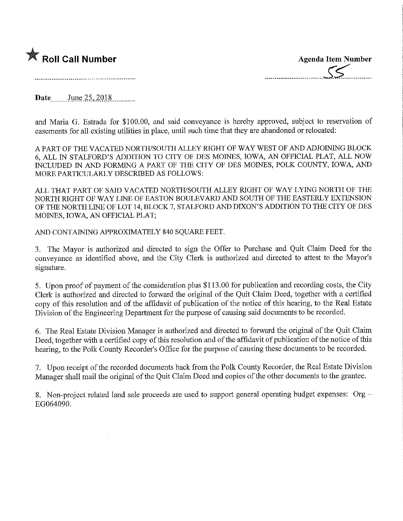

Date \_\_\_\_\_\_\_\_June 25,2018..

and Maria G. Estrada for \$100.00, and said conveyance is hereby approved, subject to reservation of easements for all existing utilities in place, until such time that they are abandoned or relocated:

A PART OF THE VACATED NORTH/SOUTH ALLEY RIGHT OF WAY WEST OF AND ADJOINING BLOCK 6, ALL IN STALFORD'S ADDITION TO CITY OF DES MOINES, IOWA, AN OFFICIAL PLAT, ALL NOW INCLUDED IN AND FORMING A PART OF THE CITY OF DES MOINES, POLK COUNTY, IOWA, AND MORE PARTICULARLY DESCRIBED AS FOLLOWS:

ALL THAT PART OF SAID VACATED NORTH/SOUTH ALLEY RIGHT OP WAY LYING NORTH OF THE NORTH RIGHT OF WAY LINE OF EASTON BOULEVARD AND SOUTH OF THE EASTERLY EXTENSION OF THE NORTH LINE OF LOT 14, BLOCK 7, STALFORD AND DIXON'S ADDITION TO THE CITY OF DES MOINES, IOWA, AN OFFICIAL PLAT;

AND CONTAINING APPROXIMATELY 840 SQUARE FEET.

3. The Mayor is authorized and directed to sign the Offer to Purchase and Quit Claim Deed for the conveyance as identified above, and the City Clerk is authorized and directed to attest to the Mayor's signature.

5. Upon proof of payment of the consideration plus \$113.00 for publication and recording costs, the City Clerk is authorized and directed to forward the original of the Quit Claim Deed, together with a certified copy of this resolution and of the affidavit of publication of the notice of this hearing, to the Real Estate Division of the Engineering Department for the purpose of causing said documents to be recorded.

6. The Real Estate Division Manager is authorized and directed to forward the original of the Quit Claim Deed, together with a certified copy of this resolution and of the affidavit of publication of the notice of this hearing, to the Polk County Recorder's Office for the purpose of causing these documents to be recorded.

7. Upon receipt of the recorded documents back from the Polk County Recorder, the Real Estate Division Manager shall mail the original of the Quit Claim Deed and copies of the other documents to the grantee.

8. Non-project related land sale proceeds are used to support general operating budget expenses:  $Org -$ EG064090.